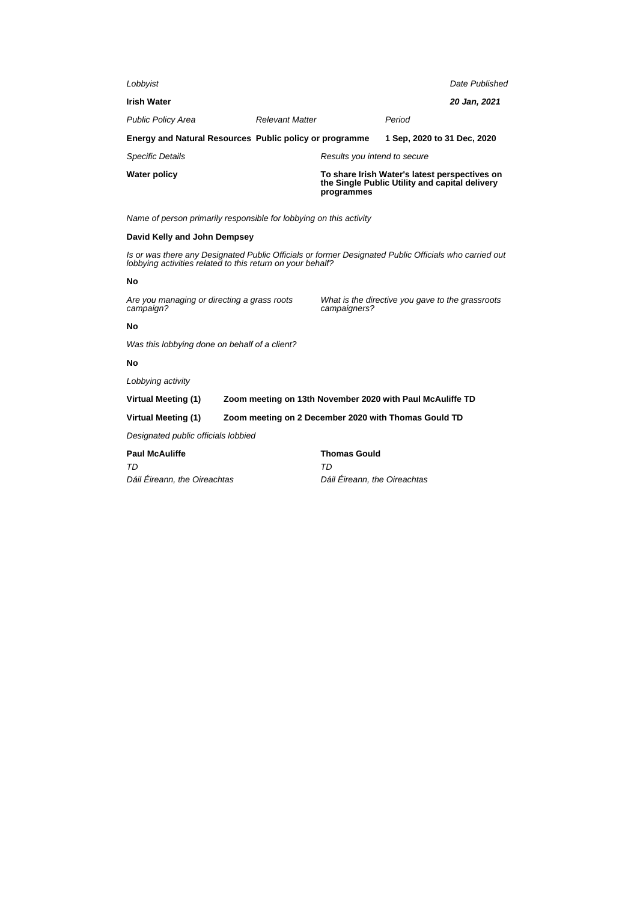| Lobbyist                                                |                        |                              |                                                                                                 | Date Published |
|---------------------------------------------------------|------------------------|------------------------------|-------------------------------------------------------------------------------------------------|----------------|
| <b>Irish Water</b>                                      |                        |                              |                                                                                                 | 20 Jan, 2021   |
| <b>Public Policy Area</b>                               | <b>Relevant Matter</b> |                              | Period                                                                                          |                |
| Energy and Natural Resources Public policy or programme |                        |                              | 1 Sep. 2020 to 31 Dec. 2020                                                                     |                |
| <b>Specific Details</b>                                 |                        | Results you intend to secure |                                                                                                 |                |
| Water policy                                            |                        | programmes                   | To share Irish Water's latest perspectives on<br>the Single Public Utility and capital delivery |                |

Name of person primarily responsible for lobbying on this activity

## **David Kelly and John Dempsey**

Is or was there any Designated Public Officials or former Designated Public Officials who carried out lobbying activities related to this return on your behalf?

#### **No**

Are you managing or directing a grass roots campaign?

What is the directive you gave to the grassroots campaigners?

#### **No**

Was this lobbying done on behalf of a client?

#### **No**

Lobbying activity

**Virtual Meeting (1) Zoom meeting on 13th November 2020 with Paul McAuliffe TD**

**Virtual Meeting (1) Zoom meeting on 2 December 2020 with Thomas Gould TD**

Designated public officials lobbied

**Paul McAuliffe** TD Dáil Éireann, the Oireachtas **Thomas Gould** TD Dáil Éireann, the Oireachtas